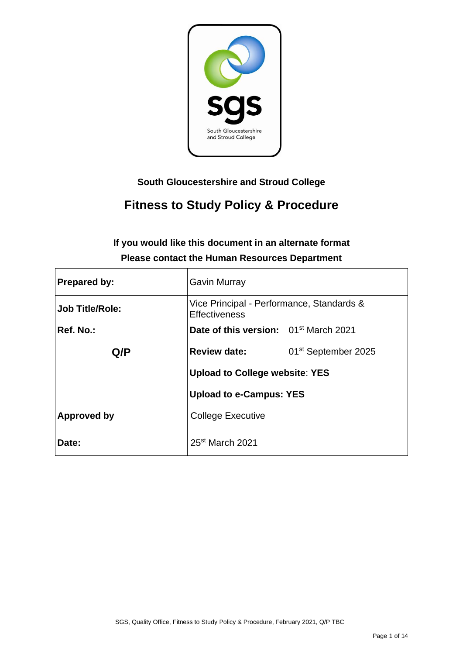

# **South Gloucestershire and Stroud College**

# **Fitness to Study Policy & Procedure**

# **If you would like this document in an alternate format Please contact the Human Resources Department**

| <b>Prepared by:</b>    | <b>Gavin Murray</b>                                               |                                 |  |  |  |
|------------------------|-------------------------------------------------------------------|---------------------------------|--|--|--|
| <b>Job Title/Role:</b> | Vice Principal - Performance, Standards &<br><b>Effectiveness</b> |                                 |  |  |  |
| Ref. No.:              | Date of this version: 01 <sup>st</sup> March 2021                 |                                 |  |  |  |
| Q/P                    | <b>Review date:</b>                                               | 01 <sup>st</sup> September 2025 |  |  |  |
|                        | <b>Upload to College website: YES</b>                             |                                 |  |  |  |
|                        | <b>Upload to e-Campus: YES</b>                                    |                                 |  |  |  |
| Approved by            | <b>College Executive</b>                                          |                                 |  |  |  |
| Date:                  | 25 <sup>st</sup> March 2021                                       |                                 |  |  |  |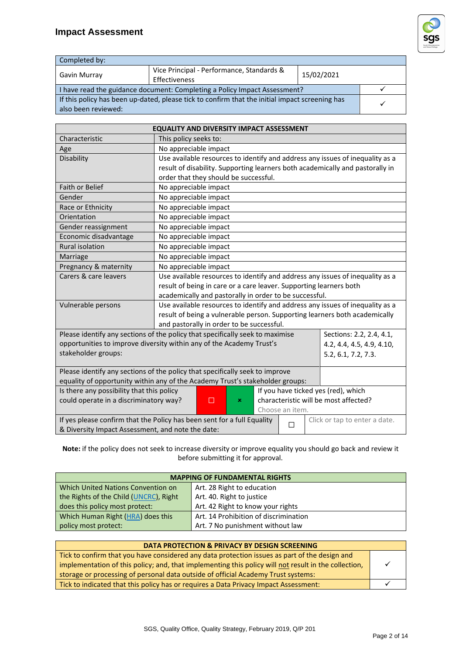# **Impact Assessment**



| Completed by:                                                                                                         |                                                            |            |  |  |
|-----------------------------------------------------------------------------------------------------------------------|------------------------------------------------------------|------------|--|--|
| Gavin Murray                                                                                                          | Vice Principal - Performance, Standards &<br>Effectiveness | 15/02/2021 |  |  |
| I have read the guidance document: Completing a Policy Impact Assessment?                                             |                                                            |            |  |  |
| If this policy has been up-dated, please tick to confirm that the initial impact screening has<br>also been reviewed: |                                                            |            |  |  |

| <b>EQUALITY AND DIVERSITY IMPACT ASSESSMENT</b>                                                               |                                                                               |                       |                           |  |  |  |                                                                               |
|---------------------------------------------------------------------------------------------------------------|-------------------------------------------------------------------------------|-----------------------|---------------------------|--|--|--|-------------------------------------------------------------------------------|
| Characteristic                                                                                                | This policy seeks to:                                                         |                       |                           |  |  |  |                                                                               |
| Age                                                                                                           |                                                                               | No appreciable impact |                           |  |  |  |                                                                               |
| Disability                                                                                                    |                                                                               |                       |                           |  |  |  | Use available resources to identify and address any issues of inequality as a |
|                                                                                                               | result of disability. Supporting learners both academically and pastorally in |                       |                           |  |  |  |                                                                               |
|                                                                                                               | order that they should be successful.                                         |                       |                           |  |  |  |                                                                               |
| Faith or Belief                                                                                               | No appreciable impact                                                         |                       |                           |  |  |  |                                                                               |
| Gender                                                                                                        | No appreciable impact                                                         |                       |                           |  |  |  |                                                                               |
| Race or Ethnicity                                                                                             | No appreciable impact                                                         |                       |                           |  |  |  |                                                                               |
| Orientation                                                                                                   | No appreciable impact                                                         |                       |                           |  |  |  |                                                                               |
| Gender reassignment                                                                                           | No appreciable impact                                                         |                       |                           |  |  |  |                                                                               |
| Economic disadvantage                                                                                         | No appreciable impact                                                         |                       |                           |  |  |  |                                                                               |
| Rural isolation                                                                                               | No appreciable impact                                                         |                       |                           |  |  |  |                                                                               |
| Marriage                                                                                                      | No appreciable impact                                                         |                       |                           |  |  |  |                                                                               |
| Pregnancy & maternity                                                                                         | No appreciable impact                                                         |                       |                           |  |  |  |                                                                               |
| Carers & care leavers                                                                                         | Use available resources to identify and address any issues of inequality as a |                       |                           |  |  |  |                                                                               |
|                                                                                                               | result of being in care or a care leaver. Supporting learners both            |                       |                           |  |  |  |                                                                               |
|                                                                                                               | academically and pastorally in order to be successful.                        |                       |                           |  |  |  |                                                                               |
| Vulnerable persons                                                                                            | Use available resources to identify and address any issues of inequality as a |                       |                           |  |  |  |                                                                               |
|                                                                                                               | result of being a vulnerable person. Supporting learners both academically    |                       |                           |  |  |  |                                                                               |
|                                                                                                               | and pastorally in order to be successful.                                     |                       |                           |  |  |  |                                                                               |
| Please identify any sections of the policy that specifically seek to maximise<br>Sections: 2.2, 2.4, 4.1,     |                                                                               |                       |                           |  |  |  |                                                                               |
| opportunities to improve diversity within any of the Academy Trust's                                          |                                                                               |                       | 4.2, 4.4, 4.5, 4.9, 4.10, |  |  |  |                                                                               |
| stakeholder groups:                                                                                           |                                                                               |                       |                           |  |  |  | 5.2, 6.1, 7.2, 7.3.                                                           |
|                                                                                                               | Please identify any sections of the policy that specifically seek to improve  |                       |                           |  |  |  |                                                                               |
| equality of opportunity within any of the Academy Trust's stakeholder groups:                                 |                                                                               |                       |                           |  |  |  |                                                                               |
| If you have ticked yes (red), which<br>Is there any possibility that this policy                              |                                                                               |                       |                           |  |  |  |                                                                               |
| could operate in a discriminatory way?                                                                        |                                                                               | п                     | ×                         |  |  |  | characteristic will be most affected?                                         |
| Choose an item.                                                                                               |                                                                               |                       |                           |  |  |  |                                                                               |
| If yes please confirm that the Policy has been sent for a full Equality<br>Click or tap to enter a date.<br>П |                                                                               |                       |                           |  |  |  |                                                                               |
| & Diversity Impact Assessment, and note the date:                                                             |                                                                               |                       |                           |  |  |  |                                                                               |

**Note:** if the policy does not seek to increase diversity or improve equality you should go back and review it before submitting it for approval.

| <b>MAPPING OF FUNDAMENTAL RIGHTS</b>   |                                       |  |
|----------------------------------------|---------------------------------------|--|
| Which United Nations Convention on     | Art. 28 Right to education            |  |
| the Rights of the Child (UNCRC), Right | Art. 40. Right to justice             |  |
| does this policy most protect:         | Art. 42 Right to know your rights     |  |
| Which Human Right (HRA) does this      | Art. 14 Prohibition of discrimination |  |
| policy most protect:                   | Art. 7 No punishment without law      |  |

| DATA PROTECTION & PRIVACY BY DESIGN SCREENING                                                        |  |  |
|------------------------------------------------------------------------------------------------------|--|--|
| Tick to confirm that you have considered any data protection issues as part of the design and        |  |  |
| implementation of this policy; and, that implementing this policy will not result in the collection, |  |  |
| storage or processing of personal data outside of official Academy Trust systems:                    |  |  |
| Tick to indicated that this policy has or requires a Data Privacy Impact Assessment:                 |  |  |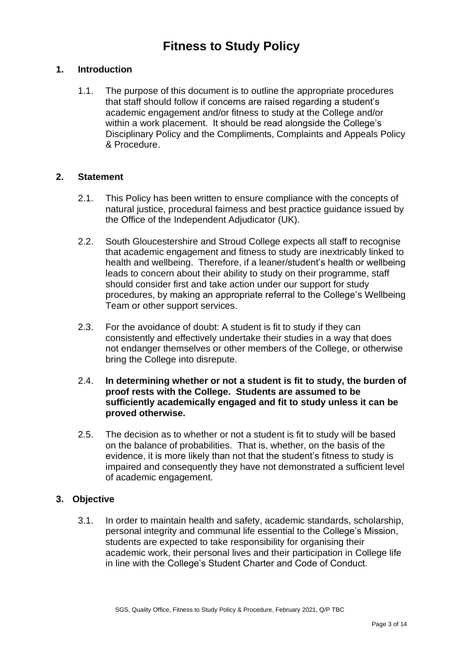# **Fitness to Study Policy**

### **1. Introduction**

1.1. The purpose of this document is to outline the appropriate procedures that staff should follow if concerns are raised regarding a student's academic engagement and/or fitness to study at the College and/or within a work placement. It should be read alongside the College's Disciplinary Policy and the Compliments, Complaints and Appeals Policy & Procedure.

#### **2. Statement**

- 2.1. This Policy has been written to ensure compliance with the concepts of natural justice, procedural fairness and best practice guidance issued by the Office of the Independent Adjudicator (UK).
- 2.2. South Gloucestershire and Stroud College expects all staff to recognise that academic engagement and fitness to study are inextricably linked to health and wellbeing. Therefore, if a leaner/student's health or wellbeing leads to concern about their ability to study on their programme, staff should consider first and take action under our support for study procedures, by making an appropriate referral to the College's Wellbeing Team or other support services.
- 2.3. For the avoidance of doubt: A student is fit to study if they can consistently and effectively undertake their studies in a way that does not endanger themselves or other members of the College, or otherwise bring the College into disrepute.
- 2.4. **In determining whether or not a student is fit to study, the burden of proof rests with the College. Students are assumed to be sufficiently academically engaged and fit to study unless it can be proved otherwise.**
- 2.5. The decision as to whether or not a student is fit to study will be based on the balance of probabilities. That is, whether, on the basis of the evidence, it is more likely than not that the student's fitness to study is impaired and consequently they have not demonstrated a sufficient level of academic engagement.

### **3. Objective**

3.1. In order to maintain health and safety, academic standards, scholarship, personal integrity and communal life essential to the College's Mission, students are expected to take responsibility for organising their academic work, their personal lives and their participation in College life in line with the College's Student Charter and Code of Conduct.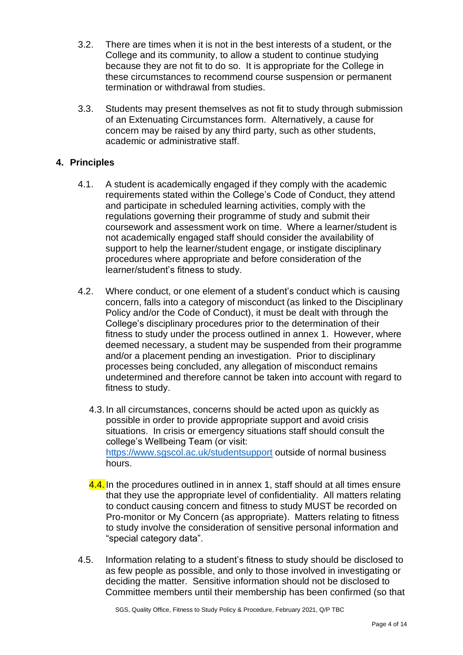- 3.2. There are times when it is not in the best interests of a student, or the College and its community, to allow a student to continue studying because they are not fit to do so. It is appropriate for the College in these circumstances to recommend course suspension or permanent termination or withdrawal from studies.
- 3.3. Students may present themselves as not fit to study through submission of an Extenuating Circumstances form. Alternatively, a cause for concern may be raised by any third party, such as other students, academic or administrative staff.

## **4. Principles**

- 4.1. A student is academically engaged if they comply with the academic requirements stated within the College's Code of Conduct, they attend and participate in scheduled learning activities, comply with the regulations governing their programme of study and submit their coursework and assessment work on time. Where a learner/student is not academically engaged staff should consider the availability of support to help the learner/student engage, or instigate disciplinary procedures where appropriate and before consideration of the learner/student's fitness to study.
- 4.2. Where conduct, or one element of a student's conduct which is causing concern, falls into a category of misconduct (as linked to the Disciplinary Policy and/or the Code of Conduct), it must be dealt with through the College's disciplinary procedures prior to the determination of their fitness to study under the process outlined in annex 1. However, where deemed necessary, a student may be suspended from their programme and/or a placement pending an investigation. Prior to disciplinary processes being concluded, any allegation of misconduct remains undetermined and therefore cannot be taken into account with regard to fitness to study.
	- 4.3. In all circumstances, concerns should be acted upon as quickly as possible in order to provide appropriate support and avoid crisis situations. In crisis or emergency situations staff should consult the college's Wellbeing Team (or visit: <https://www.sgscol.ac.uk/studentsupport> outside of normal business hours.
	- 4.4. In the procedures outlined in in annex 1, staff should at all times ensure that they use the appropriate level of confidentiality. All matters relating to conduct causing concern and fitness to study MUST be recorded on Pro-monitor or My Concern (as appropriate). Matters relating to fitness to study involve the consideration of sensitive personal information and "special category data".
- 4.5. Information relating to a student's fitness to study should be disclosed to as few people as possible, and only to those involved in investigating or deciding the matter. Sensitive information should not be disclosed to Committee members until their membership has been confirmed (so that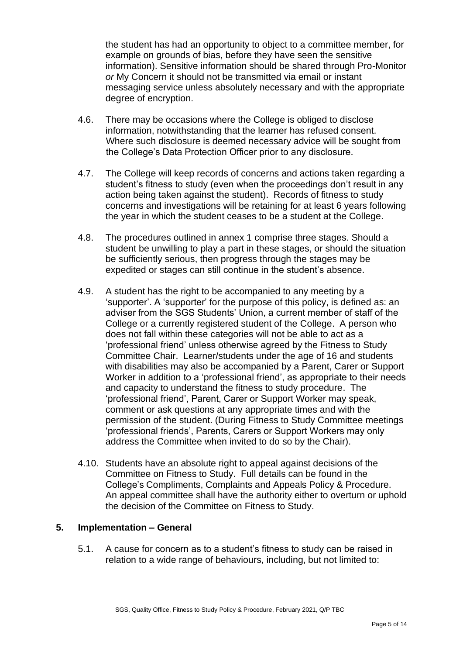the student has had an opportunity to object to a committee member, for example on grounds of bias, before they have seen the sensitive information). Sensitive information should be shared through Pro-Monitor *or* My Concern it should not be transmitted via email or instant messaging service unless absolutely necessary and with the appropriate degree of encryption.

- 4.6. There may be occasions where the College is obliged to disclose information, notwithstanding that the learner has refused consent. Where such disclosure is deemed necessary advice will be sought from the College's Data Protection Officer prior to any disclosure.
- 4.7. The College will keep records of concerns and actions taken regarding a student's fitness to study (even when the proceedings don't result in any action being taken against the student). Records of fitness to study concerns and investigations will be retaining for at least 6 years following the year in which the student ceases to be a student at the College.
- 4.8. The procedures outlined in annex 1 comprise three stages. Should a student be unwilling to play a part in these stages, or should the situation be sufficiently serious, then progress through the stages may be expedited or stages can still continue in the student's absence.
- 4.9. A student has the right to be accompanied to any meeting by a 'supporter'. A 'supporter' for the purpose of this policy, is defined as: an adviser from the SGS Students' Union, a current member of staff of the College or a currently registered student of the College. A person who does not fall within these categories will not be able to act as a 'professional friend' unless otherwise agreed by the Fitness to Study Committee Chair. Learner/students under the age of 16 and students with disabilities may also be accompanied by a Parent, Carer or Support Worker in addition to a 'professional friend', as appropriate to their needs and capacity to understand the fitness to study procedure. The 'professional friend', Parent, Carer or Support Worker may speak, comment or ask questions at any appropriate times and with the permission of the student. (During Fitness to Study Committee meetings 'professional friends', Parents, Carers or Support Workers may only address the Committee when invited to do so by the Chair).
- 4.10. Students have an absolute right to appeal against decisions of the Committee on Fitness to Study. Full details can be found in the College's Compliments, Complaints and Appeals Policy & Procedure. An appeal committee shall have the authority either to overturn or uphold the decision of the Committee on Fitness to Study.

### **5. Implementation – General**

5.1. A cause for concern as to a student's fitness to study can be raised in relation to a wide range of behaviours, including, but not limited to: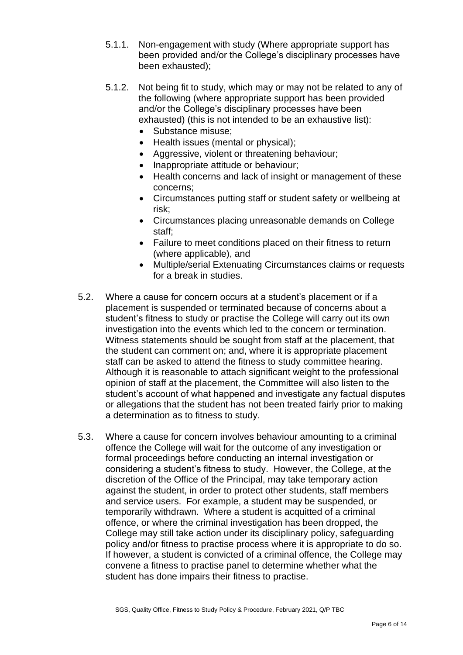- 5.1.1. Non-engagement with study (Where appropriate support has been provided and/or the College's disciplinary processes have been exhausted);
- 5.1.2. Not being fit to study, which may or may not be related to any of the following (where appropriate support has been provided and/or the College's disciplinary processes have been exhausted) (this is not intended to be an exhaustive list):
	- Substance misuse:
	- Health issues (mental or physical):
	- Aggressive, violent or threatening behaviour;
	- Inappropriate attitude or behaviour;
	- Health concerns and lack of insight or management of these concerns;
	- Circumstances putting staff or student safety or wellbeing at risk;
	- Circumstances placing unreasonable demands on College staff;
	- Failure to meet conditions placed on their fitness to return (where applicable), and
	- Multiple/serial Extenuating Circumstances claims or requests for a break in studies.
- 5.2. Where a cause for concern occurs at a student's placement or if a placement is suspended or terminated because of concerns about a student's fitness to study or practise the College will carry out its own investigation into the events which led to the concern or termination. Witness statements should be sought from staff at the placement, that the student can comment on; and, where it is appropriate placement staff can be asked to attend the fitness to study committee hearing. Although it is reasonable to attach significant weight to the professional opinion of staff at the placement, the Committee will also listen to the student's account of what happened and investigate any factual disputes or allegations that the student has not been treated fairly prior to making a determination as to fitness to study.
- 5.3. Where a cause for concern involves behaviour amounting to a criminal offence the College will wait for the outcome of any investigation or formal proceedings before conducting an internal investigation or considering a student's fitness to study. However, the College, at the discretion of the Office of the Principal, may take temporary action against the student, in order to protect other students, staff members and service users. For example, a student may be suspended, or temporarily withdrawn. Where a student is acquitted of a criminal offence, or where the criminal investigation has been dropped, the College may still take action under its disciplinary policy, safeguarding policy and/or fitness to practise process where it is appropriate to do so. If however, a student is convicted of a criminal offence, the College may convene a fitness to practise panel to determine whether what the student has done impairs their fitness to practise.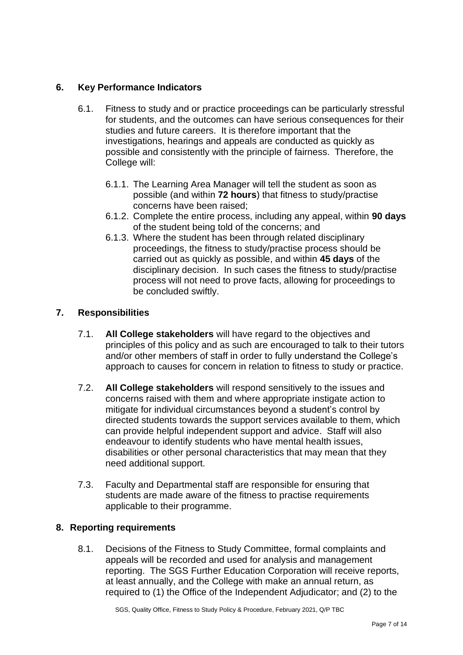# **6. Key Performance Indicators**

- 6.1. Fitness to study and or practice proceedings can be particularly stressful for students, and the outcomes can have serious consequences for their studies and future careers. It is therefore important that the investigations, hearings and appeals are conducted as quickly as possible and consistently with the principle of fairness. Therefore, the College will:
	- 6.1.1. The Learning Area Manager will tell the student as soon as possible (and within **72 hours**) that fitness to study/practise concerns have been raised;
	- 6.1.2. Complete the entire process, including any appeal, within **90 days** of the student being told of the concerns; and
	- 6.1.3. Where the student has been through related disciplinary proceedings, the fitness to study/practise process should be carried out as quickly as possible, and within **45 days** of the disciplinary decision. In such cases the fitness to study/practise process will not need to prove facts, allowing for proceedings to be concluded swiftly.

# **7. Responsibilities**

- 7.1. **All College stakeholders** will have regard to the objectives and principles of this policy and as such are encouraged to talk to their tutors and/or other members of staff in order to fully understand the College's approach to causes for concern in relation to fitness to study or practice.
- 7.2. **All College stakeholders** will respond sensitively to the issues and concerns raised with them and where appropriate instigate action to mitigate for individual circumstances beyond a student's control by directed students towards the support services available to them, which can provide helpful independent support and advice. Staff will also endeavour to identify students who have mental health issues, disabilities or other personal characteristics that may mean that they need additional support.
- 7.3. Faculty and Departmental staff are responsible for ensuring that students are made aware of the fitness to practise requirements applicable to their programme.

### **8. Reporting requirements**

8.1. Decisions of the Fitness to Study Committee, formal complaints and appeals will be recorded and used for analysis and management reporting. The SGS Further Education Corporation will receive reports, at least annually, and the College with make an annual return, as required to (1) the Office of the Independent Adjudicator; and (2) to the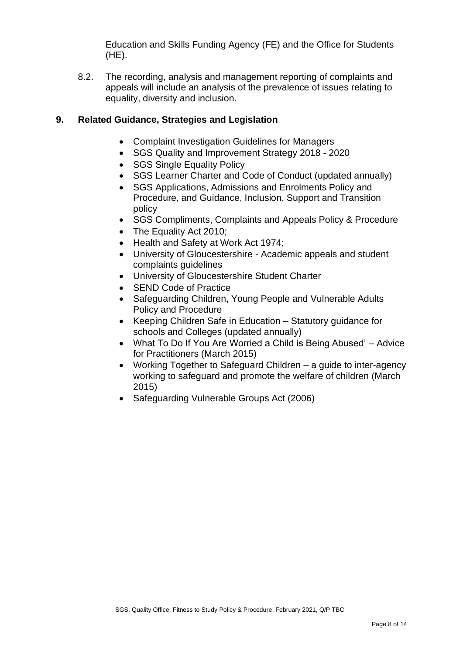Education and Skills Funding Agency (FE) and the Office for Students (HE).

8.2. The recording, analysis and management reporting of complaints and appeals will include an analysis of the prevalence of issues relating to equality, diversity and inclusion.

## **9. Related Guidance, Strategies and Legislation**

- Complaint Investigation Guidelines for Managers
- SGS Quality and Improvement Strategy 2018 2020
- SGS Single Equality Policy
- SGS Learner Charter and Code of Conduct (updated annually)
- SGS Applications, Admissions and Enrolments Policy and Procedure, and Guidance, Inclusion, Support and Transition policy
- SGS Compliments, Complaints and Appeals Policy & Procedure
- The Equality Act 2010:
- Health and Safety at Work Act 1974;
- University of Gloucestershire Academic appeals and student complaints guidelines
- University of Gloucestershire Student Charter
- SEND Code of Practice
- Safeguarding Children, Young People and Vulnerable Adults Policy and Procedure
- Keeping Children Safe in Education Statutory guidance for schools and Colleges (updated annually)
- What To Do If You Are Worried a Child is Being Abused' Advice for Practitioners (March 2015)
- Working Together to Safeguard Children a guide to inter-agency working to safeguard and promote the welfare of children (March 2015)
- Safeguarding Vulnerable Groups Act (2006)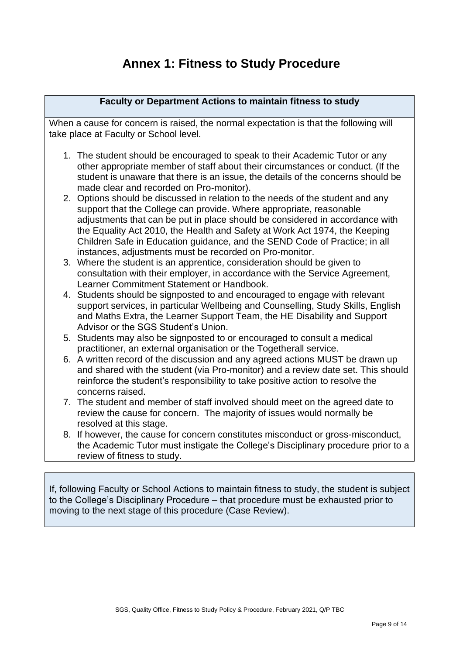# **Annex 1: Fitness to Study Procedure**

#### **Faculty or Department Actions to maintain fitness to study**

When a cause for concern is raised, the normal expectation is that the following will take place at Faculty or School level.

- 1. The student should be encouraged to speak to their Academic Tutor or any other appropriate member of staff about their circumstances or conduct. (If the student is unaware that there is an issue, the details of the concerns should be made clear and recorded on Pro-monitor).
- 2. Options should be discussed in relation to the needs of the student and any support that the College can provide. Where appropriate, reasonable adjustments that can be put in place should be considered in accordance with the Equality Act 2010, the Health and Safety at Work Act 1974, the Keeping Children Safe in Education guidance, and the SEND Code of Practice; in all instances, adjustments must be recorded on Pro-monitor.
- 3. Where the student is an apprentice, consideration should be given to consultation with their employer, in accordance with the Service Agreement, Learner Commitment Statement or Handbook.
- 4. Students should be signposted to and encouraged to engage with relevant support services, in particular Wellbeing and Counselling, Study Skills, English and Maths Extra, the Learner Support Team, the HE Disability and Support Advisor or the SGS Student's Union.
- 5. Students may also be signposted to or encouraged to consult a medical practitioner, an external organisation or the Togetherall service.
- 6. A written record of the discussion and any agreed actions MUST be drawn up and shared with the student (via Pro-monitor) and a review date set. This should reinforce the student's responsibility to take positive action to resolve the concerns raised.
- 7. The student and member of staff involved should meet on the agreed date to review the cause for concern. The majority of issues would normally be resolved at this stage.
- 8. If however, the cause for concern constitutes misconduct or gross-misconduct, the Academic Tutor must instigate the College's Disciplinary procedure prior to a review of fitness to study.

If, following Faculty or School Actions to maintain fitness to study, the student is subject to the College's Disciplinary Procedure – that procedure must be exhausted prior to moving to the next stage of this procedure (Case Review).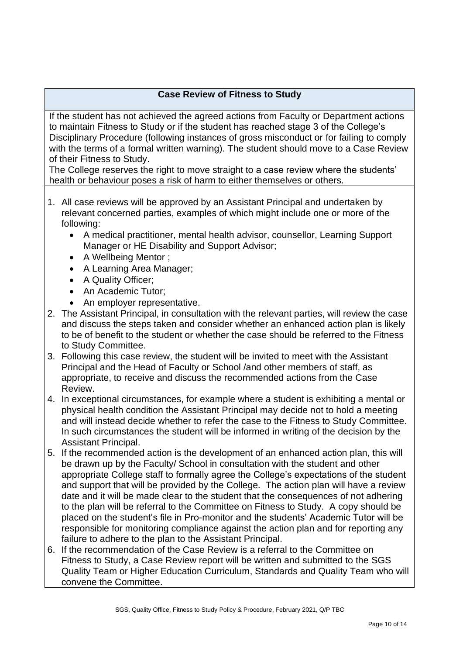# **Case Review of Fitness to Study**

If the student has not achieved the agreed actions from Faculty or Department actions to maintain Fitness to Study or if the student has reached stage 3 of the College's Disciplinary Procedure (following instances of gross misconduct or for failing to comply with the terms of a formal written warning). The student should move to a Case Review of their Fitness to Study.

The College reserves the right to move straight to a case review where the students' health or behaviour poses a risk of harm to either themselves or others.

- 1. All case reviews will be approved by an Assistant Principal and undertaken by relevant concerned parties, examples of which might include one or more of the following:
	- A medical practitioner, mental health advisor, counsellor, Learning Support Manager or HE Disability and Support Advisor;
	- A Wellbeing Mentor ;
	- A Learning Area Manager;
	- A Quality Officer;
	- An Academic Tutor;
	- An employer representative.
- 2. The Assistant Principal, in consultation with the relevant parties, will review the case and discuss the steps taken and consider whether an enhanced action plan is likely to be of benefit to the student or whether the case should be referred to the Fitness to Study Committee.
- 3. Following this case review, the student will be invited to meet with the Assistant Principal and the Head of Faculty or School /and other members of staff, as appropriate, to receive and discuss the recommended actions from the Case Review.
- 4. In exceptional circumstances, for example where a student is exhibiting a mental or physical health condition the Assistant Principal may decide not to hold a meeting and will instead decide whether to refer the case to the Fitness to Study Committee. In such circumstances the student will be informed in writing of the decision by the Assistant Principal.
- 5. If the recommended action is the development of an enhanced action plan, this will be drawn up by the Faculty/ School in consultation with the student and other appropriate College staff to formally agree the College's expectations of the student and support that will be provided by the College. The action plan will have a review date and it will be made clear to the student that the consequences of not adhering to the plan will be referral to the Committee on Fitness to Study. A copy should be placed on the student's file in Pro-monitor and the students' Academic Tutor will be responsible for monitoring compliance against the action plan and for reporting any failure to adhere to the plan to the Assistant Principal.
- 6. If the recommendation of the Case Review is a referral to the Committee on Fitness to Study, a Case Review report will be written and submitted to the SGS Quality Team or Higher Education Curriculum, Standards and Quality Team who will convene the Committee.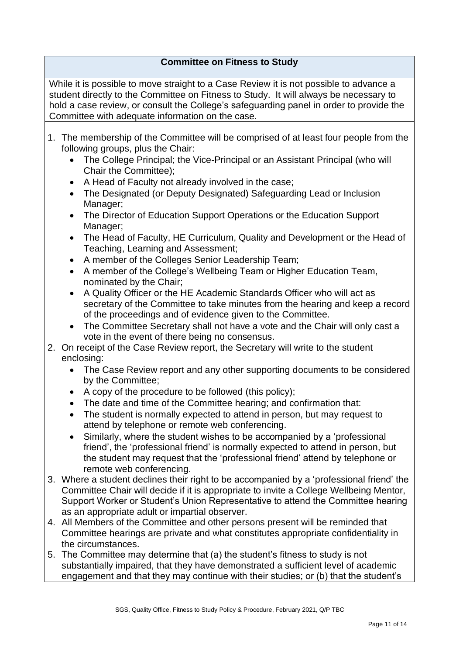# **Committee on Fitness to Study**

While it is possible to move straight to a Case Review it is not possible to advance a student directly to the Committee on Fitness to Study. It will always be necessary to hold a case review, or consult the College's safeguarding panel in order to provide the Committee with adequate information on the case.

- 1. The membership of the Committee will be comprised of at least four people from the following groups, plus the Chair:
	- The College Principal; the Vice-Principal or an Assistant Principal (who will Chair the Committee);
	- A Head of Faculty not already involved in the case;
	- The Designated (or Deputy Designated) Safeguarding Lead or Inclusion Manager;
	- The Director of Education Support Operations or the Education Support Manager;
	- The Head of Faculty, HE Curriculum, Quality and Development or the Head of Teaching, Learning and Assessment;
	- A member of the Colleges Senior Leadership Team;
	- A member of the College's Wellbeing Team or Higher Education Team, nominated by the Chair;
	- A Quality Officer or the HE Academic Standards Officer who will act as secretary of the Committee to take minutes from the hearing and keep a record of the proceedings and of evidence given to the Committee.
	- The Committee Secretary shall not have a vote and the Chair will only cast a vote in the event of there being no consensus.
- 2. On receipt of the Case Review report, the Secretary will write to the student enclosing:
	- The Case Review report and any other supporting documents to be considered by the Committee;
	- A copy of the procedure to be followed (this policy);
	- The date and time of the Committee hearing; and confirmation that:
	- The student is normally expected to attend in person, but may request to attend by telephone or remote web conferencing.
	- Similarly, where the student wishes to be accompanied by a 'professional friend', the 'professional friend' is normally expected to attend in person, but the student may request that the 'professional friend' attend by telephone or remote web conferencing.
- 3. Where a student declines their right to be accompanied by a 'professional friend' the Committee Chair will decide if it is appropriate to invite a College Wellbeing Mentor, Support Worker or Student's Union Representative to attend the Committee hearing as an appropriate adult or impartial observer.
- 4. All Members of the Committee and other persons present will be reminded that Committee hearings are private and what constitutes appropriate confidentiality in the circumstances.
- 5. The Committee may determine that (a) the student's fitness to study is not substantially impaired, that they have demonstrated a sufficient level of academic engagement and that they may continue with their studies; or (b) that the student's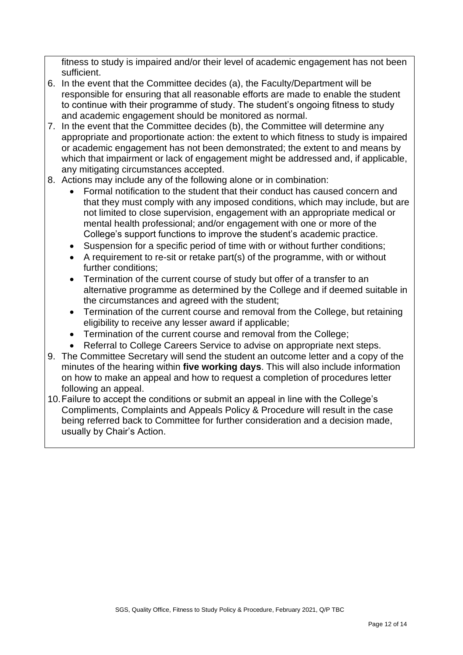fitness to study is impaired and/or their level of academic engagement has not been sufficient.

- 6. In the event that the Committee decides (a), the Faculty/Department will be responsible for ensuring that all reasonable efforts are made to enable the student to continue with their programme of study. The student's ongoing fitness to study and academic engagement should be monitored as normal.
- 7. In the event that the Committee decides (b), the Committee will determine any appropriate and proportionate action: the extent to which fitness to study is impaired or academic engagement has not been demonstrated; the extent to and means by which that impairment or lack of engagement might be addressed and, if applicable, any mitigating circumstances accepted.
- 8. Actions may include any of the following alone or in combination:
	- Formal notification to the student that their conduct has caused concern and that they must comply with any imposed conditions, which may include, but are not limited to close supervision, engagement with an appropriate medical or mental health professional; and/or engagement with one or more of the College's support functions to improve the student's academic practice.
	- Suspension for a specific period of time with or without further conditions;
	- A requirement to re-sit or retake part(s) of the programme, with or without further conditions;
	- Termination of the current course of study but offer of a transfer to an alternative programme as determined by the College and if deemed suitable in the circumstances and agreed with the student;
	- Termination of the current course and removal from the College, but retaining eligibility to receive any lesser award if applicable;
	- Termination of the current course and removal from the College:
	- Referral to College Careers Service to advise on appropriate next steps.
- 9. The Committee Secretary will send the student an outcome letter and a copy of the minutes of the hearing within **five working days**. This will also include information on how to make an appeal and how to request a completion of procedures letter following an appeal.
- 10.Failure to accept the conditions or submit an appeal in line with the College's Compliments, Complaints and Appeals Policy & Procedure will result in the case being referred back to Committee for further consideration and a decision made, usually by Chair's Action.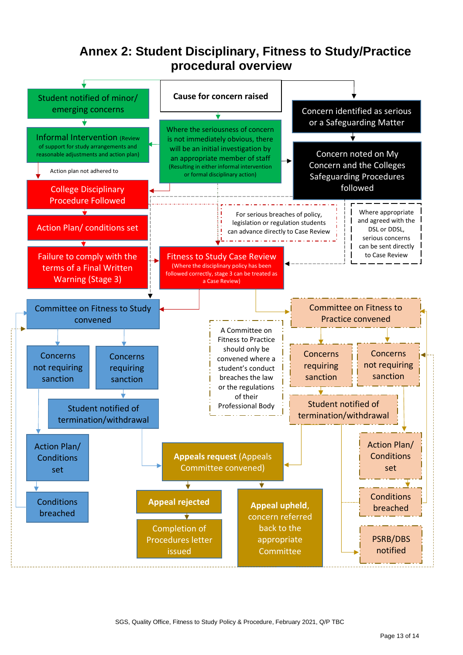# **Annex 2: Student Disciplinary, Fitness to Study/Practice procedural overview**